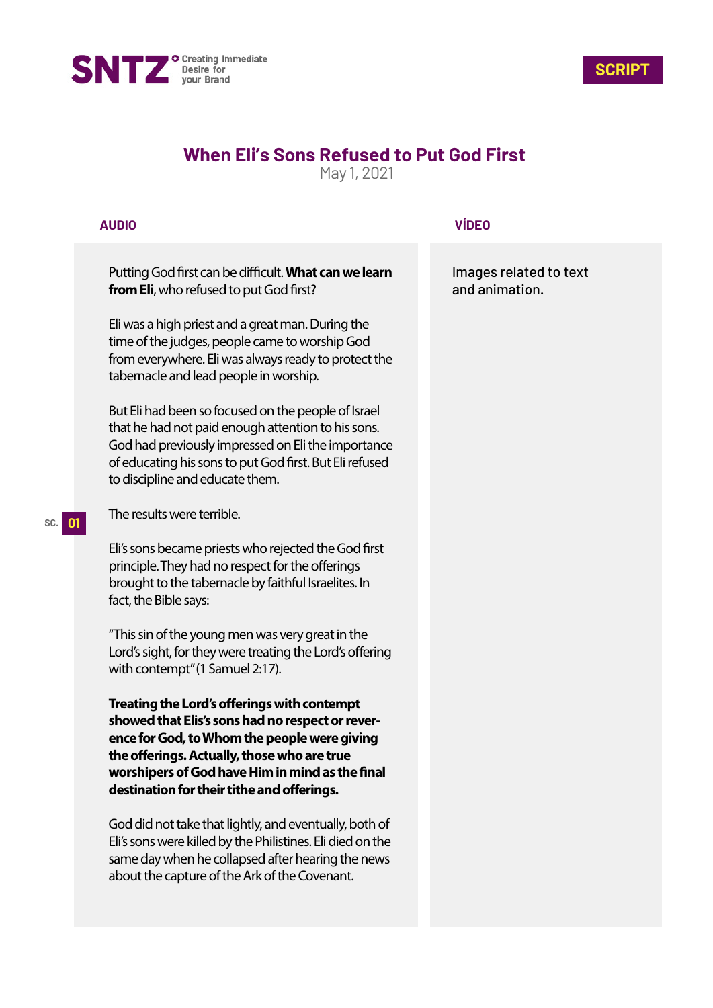



## **When Eli's Sons Refused to Put God First**

May 1, 2021

## **AUDIO**

Putting God first can be difficult. What can we learn **from Eli**, who refused to put God first?

Eli was a high priest and a great man. During the time of the judges, people came to worship God from everywhere. Eli was always ready to protect the tabernacle and lead people in worship.

But Eli had been so focused on the people of Israel that he had not paid enough attention to his sons. God had previously impressed on Eli the importance of educating his sons to put God first. But Eli refused to discipline and educate them.

The results were terrible.

Eli's sons became priests who rejected the God first principle. They had no respect for the offerings brought to the tabernacle by faithful Israelites. In fact, the Bible says:

"This sin of the young men was very great in the Lord's sight, for they were treating the Lord's offering with contempt" (1 Samuel 2:17).

**Treating the Lord's offerings with contempt showed that Elis's sons had no respect or reverence for God, to Whom the people were giving**  the offerings. Actually, those who are true worshipers of God have Him in mind as the final destination for their tithe and offerings.

God did not take that lightly, and eventually, both of Eli's sons were killed by the Philistines. Eli died on the same day when he collapsed after hearing the news about the capture of the Ark of the Covenant.

## **VÍDEO**

Images related to text and animation.

## **SC. 01**